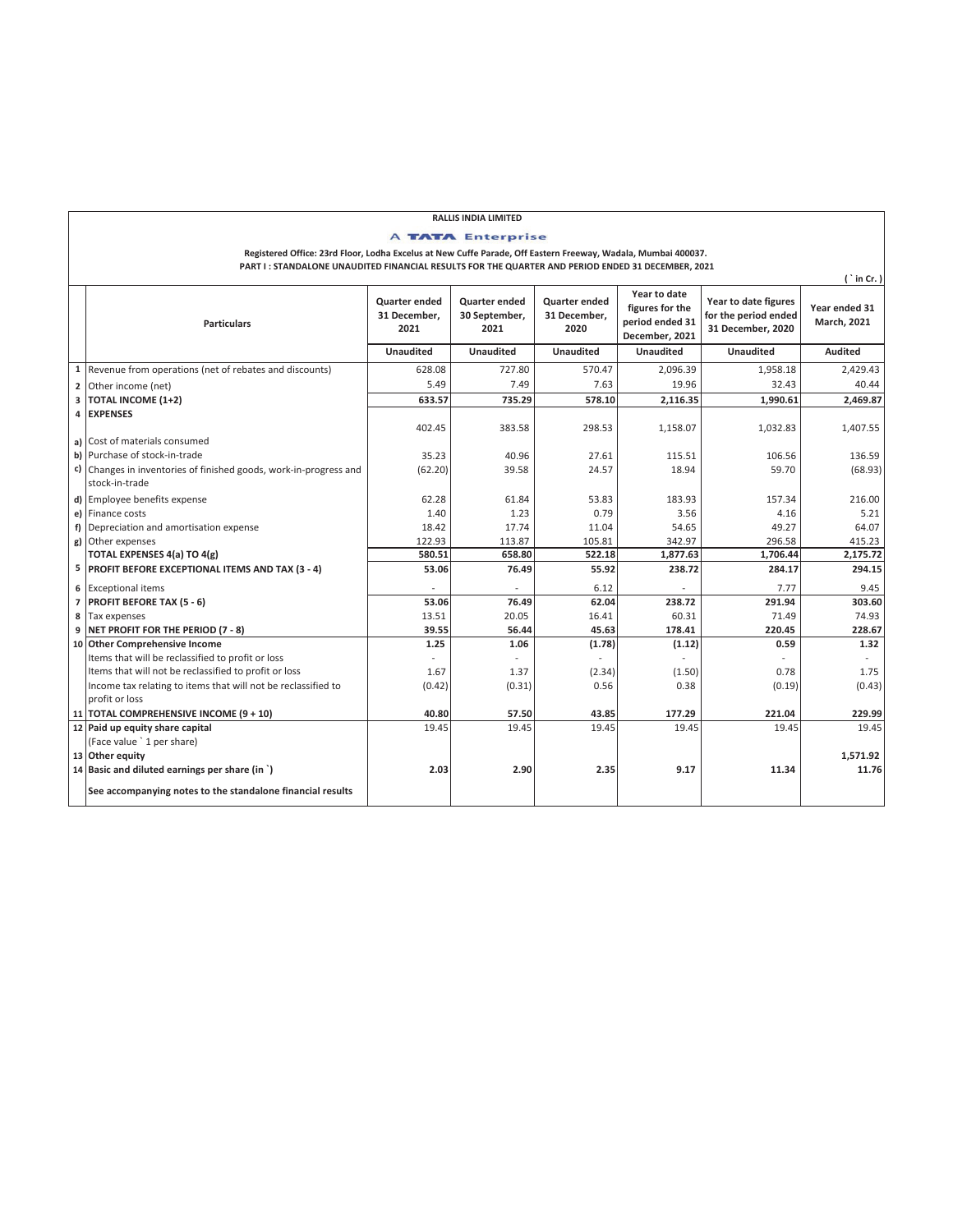## **RALLIS INDIA LIMITED**

**A TATA Enterprise** 

**Registered Office: 23rd Floor, Lodha Excelus at New Cuffe Parade, Off Eastern Freeway, Wadala, Mumbai 400037. PART I : STANDALONE UNAUDITED FINANCIAL RESULTS FOR THE QUARTER AND PERIOD ENDED 31 DECEMBER, 2021**

**( ` in Cr. ) Quarter ended 31 December, 2021 Quarter ended 30 September, 2021 Quarter ended 31 December, 2020 Year to date figures for the period ended 31 December, 2021 Year to date figures for the period ended 31 December, 2020 Year ended 31 March, 2021 Unaudited Unaudited Unaudited Unaudited Unaudited Audited** 1 Revenue from operations (net of rebates and discounts) 628.08 727.80 570.47 2,096.39 1,958.18 2,429.43<br>2 Other income (net) 628.08 5.49 7.63 7.49 7.63 19.96 32.43 40.44 **2** Other income (net) 5.49 | 7.49 | 7.63 | 19.96 | 32.43 | 40.44 **3 TOTAL INCOME (1+2) 633.57 735.29 578.10 2,116.35 1,990.61 2,469.87 4 EXPENSES a)** Cost of materials consumed 383.58 402.45 298.53 1,158.07 1,032.83 1,407.55 **b)** Purchase of stock-in-trade 40.96 **136.59** 35.23 40.96 27.61 115.51 115.51 106.56 136.59 **c)** Changes in inventories of finished goods, work-in-progress and stock-in-trade  $(62.20)$  39.58 24.57 18.94 59.70 (68.93) **d)** Employee benefits expense 61.84 **62.28** 61.84 **53.83** 53.83 183.93 157.34 157.34 216.00<br> **e)** Finance costs 4.16 5.21 5.21 **e)** Finance costs 1.40 | 1.23 | 0.79 | 3.56 | 4.16 | 5.21 **f**) Depreciation and amortisation expense 18.42 17.74 18.42 11.04 54.65 49.27 49.27 64.07 **g)** Other expenses 113.87 122.93 105.81 342.97 296.58 415.23 **TOTAL EXPENSES 4(a) TO 4(g) 580.51 658.80 522.18 1,877.63 1,706.44 2,175.72 5 PROFIT BEFORE EXCEPTIONAL ITEMS AND TAX (3 - 4) 53.06 76.49 55.92 238.72 284.17 294.15 6** Exceptional items - - 6.12 - 7.77 9.45 **7 PROFIT BEFORE TAX (5 - 6)** 53.06 **76.49** 62.04 238.72 291.94 303.60<br>8 Tax expenses 62.04 60.31 71.49 74.93 **8** Tax expenses 20.05 20.05 16.41 15.51 16.41 16.41 16.31 71.49 71.49 74.93 **9 NET PROFIT FOR THE PERIOD (7 - 8) 39.55 56.44 45.63 178.41 220.45 228.67** 10 **Other Comprehensive Income** 1.32 **1.25** 1.25 **1.06** (1.78) (1.78) (1.12) 0.59 1.32 Items that will be reclassified to profit or loss Items that will not be reclassified to profit or loss and the classified to the reclassified to the reclassified to  $(0.42)$   $(0.43)$   $(0.31)$   $(0.56)$   $(0.38)$   $(0.19)$   $(0.43)$   $(0.43)$   $(0.43)$ Income tax relating to items that will not be reclassified to profit or loss  $(0.42)$   $(0.31)$   $0.56$   $0.38$   $(0.19)$   $(0.43)$ **11 TOTAL COMPREHENSIVE INCOME (9 + 10) 40.80 57.50 43.85 177.29 221.04 229.99 12** Paid up equity share capital (Face value ` 1 per share) **13 Other equity 1,571.92 14 Basic and diluted earnings per share (in `) 2.03 2.90 2.35 9.17 11.34 11.76 See accompanying notes to the standalone financial results Particulars**